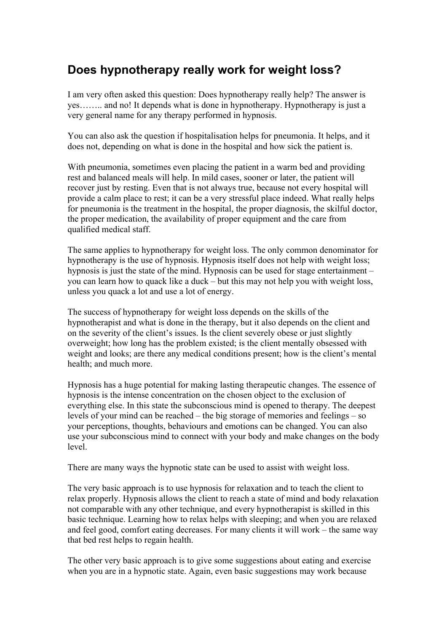## **Does hypnotherapy really work for weight loss?**

I am very often asked this question: Does hypnotherapy really help? The answer is yes…….. and no! It depends what is done in hypnotherapy. Hypnotherapy is just a very general name for any therapy performed in hypnosis.

You can also ask the question if hospitalisation helps for pneumonia. It helps, and it does not, depending on what is done in the hospital and how sick the patient is.

With pneumonia, sometimes even placing the patient in a warm bed and providing rest and balanced meals will help. In mild cases, sooner or later, the patient will recover just by resting. Even that is not always true, because not every hospital will provide a calm place to rest; it can be a very stressful place indeed. What really helps for pneumonia is the treatment in the hospital, the proper diagnosis, the skilful doctor, the proper medication, the availability of proper equipment and the care from qualified medical staff.

The same applies to hypnotherapy for weight loss. The only common denominator for hypnotherapy is the use of hypnosis. Hypnosis itself does not help with weight loss; hypnosis is just the state of the mind. Hypnosis can be used for stage entertainment – you can learn how to quack like a duck – but this may not help you with weight loss, unless you quack a lot and use a lot of energy.

The success of hypnotherapy for weight loss depends on the skills of the hypnotherapist and what is done in the therapy, but it also depends on the client and on the severity of the client's issues. Is the client severely obese or just slightly overweight; how long has the problem existed; is the client mentally obsessed with weight and looks; are there any medical conditions present; how is the client's mental health; and much more.

Hypnosis has a huge potential for making lasting therapeutic changes. The essence of hypnosis is the intense concentration on the chosen object to the exclusion of everything else. In this state the subconscious mind is opened to therapy. The deepest levels of your mind can be reached – the big storage of memories and feelings – so your perceptions, thoughts, behaviours and emotions can be changed. You can also use your subconscious mind to connect with your body and make changes on the body level.

There are many ways the hypnotic state can be used to assist with weight loss.

The very basic approach is to use hypnosis for relaxation and to teach the client to relax properly. Hypnosis allows the client to reach a state of mind and body relaxation not comparable with any other technique, and every hypnotherapist is skilled in this basic technique. Learning how to relax helps with sleeping; and when you are relaxed and feel good, comfort eating decreases. For many clients it will work – the same way that bed rest helps to regain health.

The other very basic approach is to give some suggestions about eating and exercise when you are in a hypnotic state. Again, even basic suggestions may work because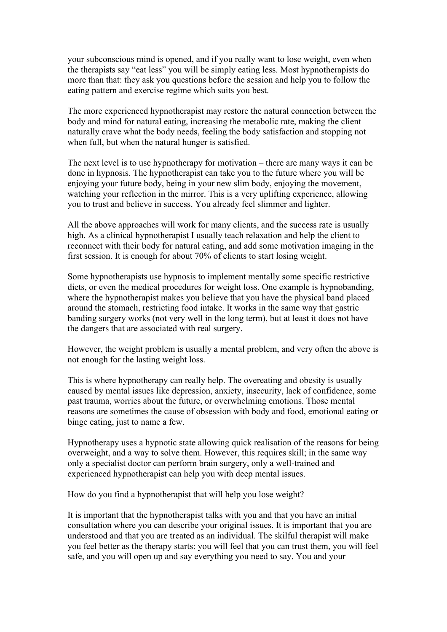your subconscious mind is opened, and if you really want to lose weight, even when the therapists say "eat less" you will be simply eating less. Most hypnotherapists do more than that: they ask you questions before the session and help you to follow the eating pattern and exercise regime which suits you best.

The more experienced hypnotherapist may restore the natural connection between the body and mind for natural eating, increasing the metabolic rate, making the client naturally crave what the body needs, feeling the body satisfaction and stopping not when full, but when the natural hunger is satisfied.

The next level is to use hypnotherapy for motivation – there are many ways it can be done in hypnosis. The hypnotherapist can take you to the future where you will be enjoying your future body, being in your new slim body, enjoying the movement, watching your reflection in the mirror. This is a very uplifting experience, allowing you to trust and believe in success. You already feel slimmer and lighter.

All the above approaches will work for many clients, and the success rate is usually high. As a clinical hypnotherapist I usually teach relaxation and help the client to reconnect with their body for natural eating, and add some motivation imaging in the first session. It is enough for about 70% of clients to start losing weight.

Some hypnotherapists use hypnosis to implement mentally some specific restrictive diets, or even the medical procedures for weight loss. One example is hypnobanding, where the hypnotherapist makes you believe that you have the physical band placed around the stomach, restricting food intake. It works in the same way that gastric banding surgery works (not very well in the long term), but at least it does not have the dangers that are associated with real surgery.

However, the weight problem is usually a mental problem, and very often the above is not enough for the lasting weight loss.

This is where hypnotherapy can really help. The overeating and obesity is usually caused by mental issues like depression, anxiety, insecurity, lack of confidence, some past trauma, worries about the future, or overwhelming emotions. Those mental reasons are sometimes the cause of obsession with body and food, emotional eating or binge eating, just to name a few.

Hypnotherapy uses a hypnotic state allowing quick realisation of the reasons for being overweight, and a way to solve them. However, this requires skill; in the same way only a specialist doctor can perform brain surgery, only a well-trained and experienced hypnotherapist can help you with deep mental issues.

How do you find a hypnotherapist that will help you lose weight?

It is important that the hypnotherapist talks with you and that you have an initial consultation where you can describe your original issues. It is important that you are understood and that you are treated as an individual. The skilful therapist will make you feel better as the therapy starts: you will feel that you can trust them, you will feel safe, and you will open up and say everything you need to say. You and your